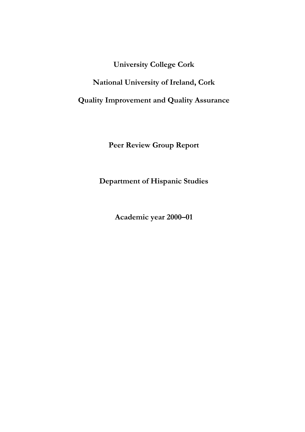**University College Cork** 

**National University of Ireland, Cork** 

**Quality Improvement and Quality Assurance** 

**Peer Review Group Report** 

**Department of Hispanic Studies** 

**Academic year 2000–01**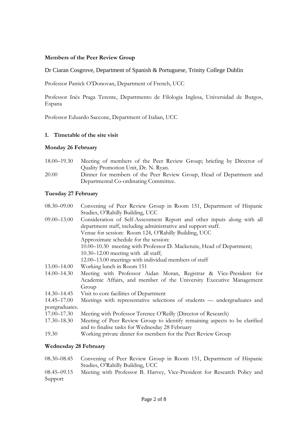# **Members of the Peer Review Group**

# Dr Ciaran Cosgrove, Department of Spanish & Portuguese, Trinity College Dublin

Professor Patrick O'Donovan, Department of French, UCC

Professor Inés Praga Terente, Departmento de Filologia Inglesa, Universidad de Burgos, Espana

Professor Eduardo Saccone, Department of Italian, UCC

## **1. Timetable of the site visit**

## **Monday 26 February**

- 18.00–19.30 Meeting of members of the Peer Review Group; briefing by Director of Quality Promotion Unit, Dr. N. Ryan. 20.00 Dinner for members of the Peer Review Group, Head of Department and
- Departmental Co-ordinating Committee.

## **Tuesday 27 February**

| $08.30 - 09.00$ | Convening of Peer Review Group in Room 151, Department of Hispanic         |
|-----------------|----------------------------------------------------------------------------|
|                 | Studies, O'Rahilly Building, UCC                                           |
| $09.00 - 13.00$ | Consideration of Self-Assessment Report and other inputs along with all    |
|                 | department staff, including administrative and support staff.              |
|                 | Venue for session: Room 124, O'Rahilly Building, UCC                       |
|                 | Approximate schedule for the session:                                      |
|                 | 10.00-10.30 meeting with Professor D. Mackenzie, Head of Department;       |
|                 | $10.30 - 12.00$ meeting with all staff;                                    |
|                 | 12.00–13.00 meetings with individual members of staff                      |
| 13.00–14.00     | Working lunch in Room 151                                                  |
| $14.00 - 14.30$ | Meeting with Professor Aidan Moran, Registrar & Vice-President for         |
|                 | Academic Affairs, and member of the University Executive Management        |
|                 | Group                                                                      |
| 14.30–14.45     | Visit to core facilities of Department                                     |
| 14.45–17.00     | Meetings with representative selections of students - undergraduates and   |
| postgraduates.  |                                                                            |
| 17.00–17.30     | Meeting with Professor Terence O'Reilly (Director of Research)             |
| $17.30 - 18.30$ | Meeting of Peer Review Group to identify remaining aspects to be clarified |
|                 | and to finalise tasks for Wednesday 28 February                            |
| 19.30           | Working private dinner for members for the Peer Review Group               |

# **Wednesday 28 February**

| 08.30–08.45 Convening of Peer Review Group in Room 151, Department of Hispanic       |
|--------------------------------------------------------------------------------------|
| Studies, O'Rahilly Building, UCC                                                     |
| 08.45, 00.15 Meeting with Drofessor R. Hervey Vice Dresident for Research Dolicy and |

08.45–09.15 Meeting with Professor B. Harvey, Vice-President for Research Policy and Support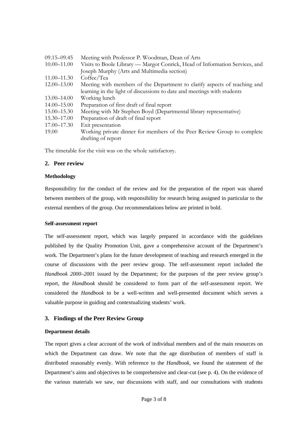| $09.15 - 09.45$ | Meeting with Professor P. Woodman, Dean of Arts                             |
|-----------------|-----------------------------------------------------------------------------|
| $10.00 - 11.00$ | Visits to Boole Library — Margot Conrick, Head of Information Services, and |
|                 | Joseph Murphy (Arts and Multimedia section)                                 |
| $11.00 - 11.30$ | Coffee/Tea                                                                  |
| $12.00 - 13.00$ | Meeting with members of the Department to clarify aspects of teaching and   |
|                 | learning in the light of discussions to date and meetings with students     |
| 13.00–14.00     | Working lunch                                                               |
| $14.00 - 15.00$ | Preparation of first draft of final report                                  |
| $15.00 - 15.30$ | Meeting with Mr Stephen Boyd (Departmental library representative)          |
| 15.30–17.00     | Preparation of draft of final report                                        |
| 17.00-17.30     | Exit presentation                                                           |
| 19.00           | Working private dinner for members of the Peer Review Group to complete     |
|                 | drafting of report                                                          |

The timetable for the visit was on the whole satisfactory.

## **2. Peer review**

## **Methodology**

Responsibility for the conduct of the review and for the preparation of the report was shared between members of the group, with responsibility for research being assigned in particular to the external members of the group. Our recommendations below are printed in bold.

## **Self-assessment report**

The self-assessment report, which was largely prepared in accordance with the guidelines published by the Quality Promotion Unit, gave a comprehensive account of the Department's work. The Department's plans for the future development of teaching and research emerged in the course of discussions with the peer review group. The self-assessment report included the *Handbook 2000–2001* issued by the Department; for the purposes of the peer review group's report, the *Handbook* should be considered to form part of the self-assessment report. We considered the *Handbook* to be a well-written and well-presented document which serves a valuable purpose in guiding and contextualizing students' work.

# **3. Findings of the Peer Review Group**

## **Department details**

The report gives a clear account of the work of individual members and of the main resources on which the Department can draw. We note that the age distribution of members of staff is distributed reasonably evenly. With reference to the *Handbook*, we found the statement of the Department's aims and objectives to be comprehensive and clear-cut (see p. 4). On the evidence of the various materials we saw, our discussions with staff, and our consultations with students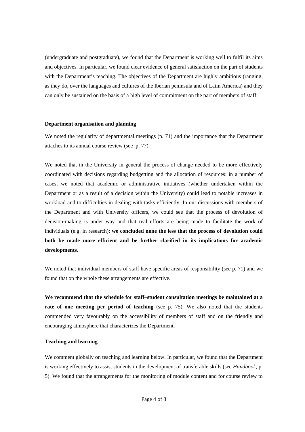(undergraduate and postgraduate), we found that the Department is working well to fulfil its aims and objectives. In particular, we found clear evidence of general satisfaction on the part of students with the Department's teaching. The objectives of the Department are highly ambitious (ranging, as they do, over the languages and cultures of the Iberian peninsula and of Latin America) and they can only be sustained on the basis of a high level of commitment on the part of members of staff.

#### **Department organisation and planning**

We noted the regularity of departmental meetings (p. 71) and the importance that the Department attaches to its annual course review (see p. 77).

We noted that in the University in general the process of change needed to be more effectively coordinated with decisions regarding budgetting and the allocation of resources: in a number of cases, we noted that academic or administrative initiatives (whether undertaken within the Department or as a result of a decision within the University) could lead to notable increases in workload and to difficulties in dealing with tasks efficiently. In our discussions with members of the Department and with University officers, we could see that the process of devolution of decision-making is under way and that real efforts are being made to facilitate the work of individuals (e.g. in research); **we concluded none the less that the process of devolution could both be made more efficient and be further clarified in its implications for academic developments**.

We noted that individual members of staff have specific areas of responsibility (see p. 71) and we found that on the whole these arrangements are effective.

**We recommend that the schedule for staff–student consultation meetings be maintained at a rate of one meeting per period of teaching** (see p. 75). We also noted that the students commended very favourably on the accessibility of members of staff and on the friendly and encouraging atmosphere that characterizes the Department.

#### **Teaching and learning**

We comment globally on teaching and learning below. In particular, we found that the Department is working effectively to assist students in the development of transferable skills (see *Handbook*, p. 5). We found that the arrangements for the monitoring of module content and for course review to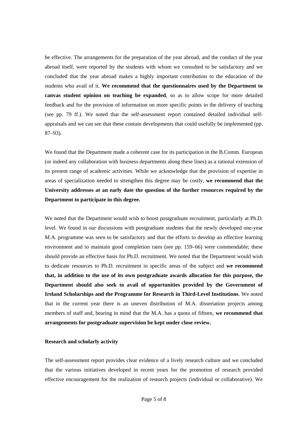be effective. The arrangements for the preparation of the year abroad, and the conduct of the year abroad itself, were reported by the students with whom we consulted to be satisfactory and we concluded that the year abroad makes a highly important contribution to the education of the students who avail of it. **We recommend that the questionnaires used by the Department to canvas student opinion on teaching be expanded**, so as to allow scope for more detailed feedback and for the provision of information on more specific points in the delivery of teaching (see pp. 79 ff.). We noted that the self-assessment report contained detailed individual selfappraisals and we can see that these contain developments that could usefully be implemented (pp. 87–93).

We found that the Department made a coherent case for its participation in the B.Comm. European (or indeed any collaboration with business departments along these lines) as a rational extension of its present range of academic activities. While we acknowledge that the provision of expertise in areas of specialization needed to strengthen this degree may be costly, **we recommend that the University addresses at an early date the question of the further resources required by the Department to participate in this degree.** 

We noted that the Department would wish to boost postgraduate recruitment, particularly at Ph.D. level. We found in our discussions with postgraduate students that the newly developed one-year M.A. programme was seen to be satisfactory and that the efforts to develop an effective learning environment and to maintain good completion rates (see pp. 159–66) were commendable; these should provide an effective basis for Ph.D. recruitment. We noted that the Department would wish to dedicate resources to Ph.D. recruitment in specific areas of the subject and **we recommend that, in addition to the use of its own postgraduate awards allocation for this purpose, the Department should also seek to avail of opportunities provided by the Government of Ireland Scholarships and the Programme for Research in Third-Level Institutions**. We noted that in the current year there is an uneven distribution of M.A. dissertation projects among members of staff and, bearing in mind that the M.A. has a quota of fifteen, **we recommend that arrangements for postgraduate supervision be kept under close review.** 

#### **Research and scholarly activity**

The self-assessment report provides clear evidence of a lively research culture and we concluded that the various initiatives developed in recent years for the promotion of research provided effective encouragement for the realization of research projects (individual or collaborative). We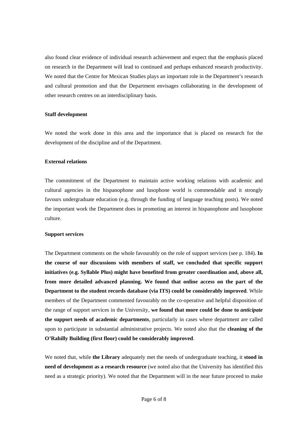also found clear evidence of individual research achievement and expect that the emphasis placed on research in the Department will lead to continued and perhaps enhanced research productivity. We noted that the Centre for Mexican Studies plays an important role in the Department's research and cultural promotion and that the Department envisages collaborating in the development of other research centres on an interdisciplinary basis.

#### **Staff development**

We noted the work done in this area and the importance that is placed on research for the development of the discipline and of the Department.

#### **External relations**

The commitment of the Department to maintain active working relations with academic and cultural agencies in the hispanophone and lusophone world is commendable and it strongly favours undergraduate education (e.g. through the funding of language teaching posts). We noted the important work the Department does in promoting an interest in hispanophone and lusophone culture.

#### **Support services**

The Department comments on the whole favourably on the role of support services (see p. 184). **In the course of our discussions with members of staff, we concluded that specific support initiatives (e.g. Syllable Plus) might have benefited from greater coordination and, above all, from more detailed advanced planning. We found that online access on the part of the Department to the student records database (via ITS) could be considerably improved**. While members of the Department commented favourably on the co-operative and helpful disposition of the range of support services in the University, **we found that more could be done to** *anticipate* **the support needs of academic departments**, particularly in cases where department are called upon to participate in substantial administrative projects. We noted also that the **cleaning of the O'Rahilly Building (first floor) could be considerably improved**.

We noted that, while **the Library** adequately met the needs of undergraduate teaching, it **stood in need of development as a research resource** (we noted also that the University has identified this need as a strategic priority). We noted that the Department will in the near future proceed to make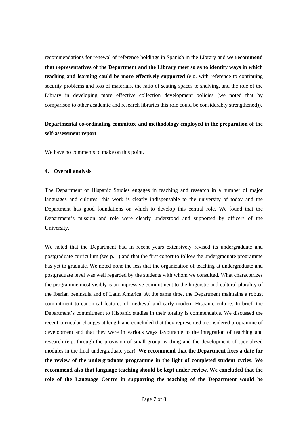recommendations for renewal of reference holdings in Spanish in the Library and **we recommend that representatives of the Department and the Library meet so as to identify ways in which teaching and learning could be more effectively supported** (e.g. with reference to continuing security problems and loss of materials, the ratio of seating spaces to shelving, and the role of the Library in developing more effective collection development policies (we noted that by comparison to other academic and research libraries this role could be considerably strengthened)).

# **Departmental co-ordinating committee and methodology employed in the preparation of the self-assessment report**

We have no comments to make on this point.

## **4. Overall analysis**

The Department of Hispanic Studies engages in teaching and research in a number of major languages and cultures; this work is clearly indispensable to the university of today and the Department has good foundations on which to develop this central role. We found that the Department's mission and role were clearly understood and supported by officers of the University.

We noted that the Department had in recent years extensively revised its undergraduate and postgraduate curriculum (see p. 1) and that the first cohort to follow the undergraduate programme has yet to graduate. We noted none the less that the organization of teaching at undergraduate and postgraduate level was well regarded by the students with whom we consulted. What characterizes the programme most visibly is an impressive commitment to the linguistic and cultural plurality of the Iberian peninsula and of Latin America. At the same time, the Department maintains a robust commitment to canonical features of medieval and early modern Hispanic culture. In brief, the Department's commitment to Hispanic studies in their totality is commendable. We discussed the recent curricular changes at length and concluded that they represented a considered programme of development and that they were in various ways favourable to the integration of teaching and research (e.g. through the provision of small-group teaching and the development of specialized modules in the final undergraduate year). **We recommend that the Department fixes a date for the review of the undergraduate programme in the light of completed student cycles**. **We recommend also that language teaching should be kept under review**. **We concluded that the role of the Language Centre in supporting the teaching of the Department would be**